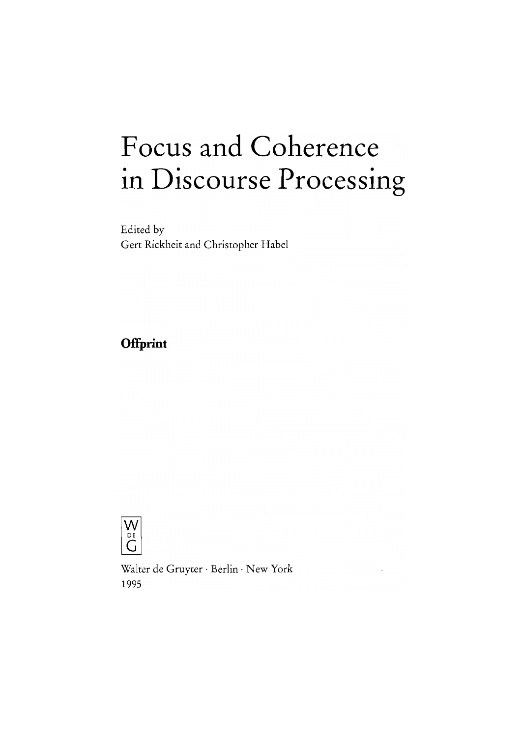# **Focus and Coherence in Discourse Processing**

Edited by Gert Rickheit and Christopher Habel

**Offprint** 



Walter de Gruyter· Berlin . New York 1995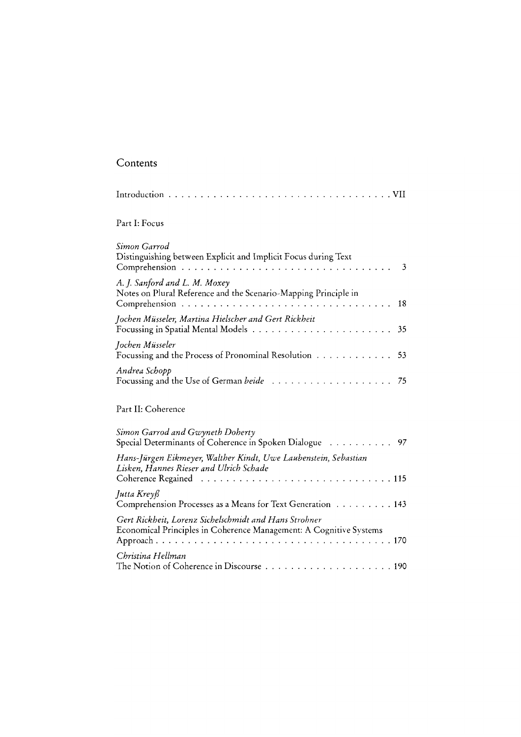# Contents

| . VII                                                                                                                                                        |
|--------------------------------------------------------------------------------------------------------------------------------------------------------------|
| Part I: Focus                                                                                                                                                |
| Simon Garrod<br>Distinguishing between Explicit and Implicit Focus during Text<br>3                                                                          |
| A. J. Sanford and L. M. Moxey<br>Notes on Plural Reference and the Scenario-Mapping Principle in<br>Comprehension<br>18<br>de la caractería de la caractería |
| Jochen Müsseler, Martina Hielscher and Gert Rickheit<br>35                                                                                                   |
| Jochen Müsseler<br>Focussing and the Process of Pronominal Resolution<br>53                                                                                  |
| Andrea Schopp<br>75                                                                                                                                          |
| Part II: Coherence                                                                                                                                           |
| Simon Garrod and Gwyneth Doherty<br>Special Determinants of Coherence in Spoken Dialogue<br>97                                                               |
| Hans-Jürgen Eikmeyer, Walther Kindt, Uwe Laubenstein, Sebastian<br>Lisken, Hannes Rieser and Ulrich Schade                                                   |
| Jutta Kreyß<br>Comprehension Processes as a Means for Text Generation 143                                                                                    |
| Gert Rickheit, Lorenz Sichelschmidt and Hans Strohner<br>Economical Principles in Coherence Management: A Cognitive Systems                                  |
| Christina Hellman                                                                                                                                            |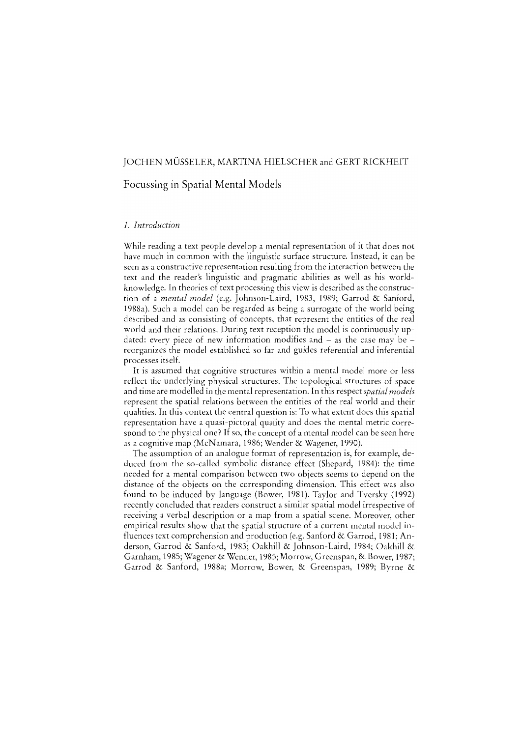#### JOCHEN MÜSSELER, MARTINA HIELSCHER and GERT RICKHEIT

## Focussing **in** Spatial Mental Models

#### 1. *Introduction*

While reading a text people develop a mental representation of it that does not have much in common with the linguistic surface structure. Instead, it can be seen as a constructive representation resulting from the imeraction between the text and the reader's linguistic and pragmatic abilities as weil as his worIdknowledge. In thcories of text processing this view is described as the construction of a *mental model* (e.g. Johnson-Laird, 1983, 1989; Garrod & Sanford, 1988a). Such a model can be regarded as being a surrogate of the world being described and as consisting of concepts, that represent the entities of the real world and their relations. During text reception the model is continuously updated: every piece of new information modifies and  $-$  as the case may be  $$ reorganizes the model established so far and guides referential and inferential processes itself.

It is assumed that cognitive structures within a mental model more or less reflect the underlying physical structures. The topological structures of space and time are modelIed in the mental represemation. In this respect *spatial models*  represent the spatial relations between the emities of the real world and their qualitics. In this context the central question is: To what extent does this spatial representation have a quasi-pictoral quality and does the mental metric correspond to the physical one? If so, the concept of a mental model can be seen here as a cognitive map (McNamara, 1986; Wender & Wagencr, 1990).

The assumption of an analogue format of representation is, for example, deduced from the so-called symbolic distance effect (Shepard, 1984): the time needed for a mental comparison between two objects seems to depend on the distance of the objects on the corresponding dimension. This effect was also found to be indueed by language (Bower, 1981). Taylor and Tversky (1992) recently eoncluded that readers construct a similar spatial model irrespective of reeeiving a verbal description or a map from a spatial scene. Moreover, other empirical results show that the spatial structure of a current mental model influences text comprehension and production (e.g. Sanford & Garrod, 1981; Anderson, Garrod & Sanford, 1983; Oakhill & Johnson-Laird, 1984; OakhiU & Garnharn, 1985; Wagener & Wender, 1985; Morrow, Greenspan, & Bower, 1987; Garrod & Sanford, 1988a; Morrow, Bower, & Greenspan, 1989; Byrne &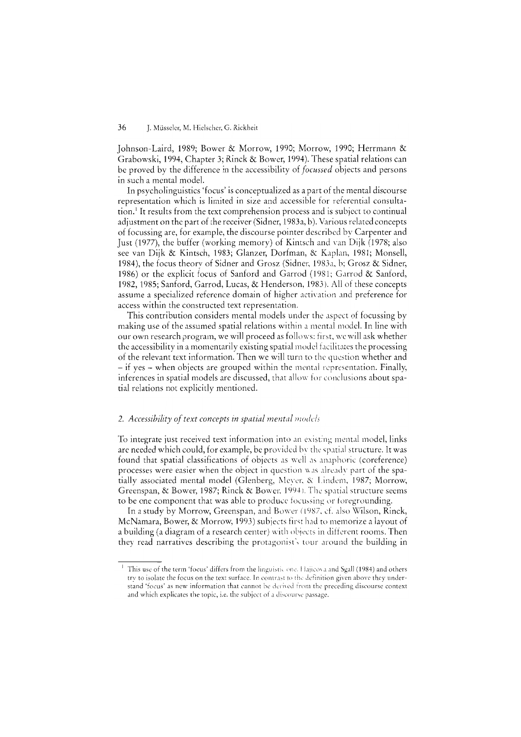Johnson-Laird, 1989; Bower & Morrow, 1990; Morrow, 1990; Herrmann & Grabowski, 1994, Chapter 3; Rinck & Bower, 1994). These spatial relations can be proved by the difference in the accessibility of *focussed* objects and persons in such a mental model.

In psycholinguistics 'foeus' is conceptualized as apart of the mental discourse representation which is limited in size and accessible for referential consultation. 1 It results from the text comprehension process and is subject to continual adjustment on the part of the receiver (Sidner, 1983a, b). Various related concepts of focussing are, for example, the discourse pointer described by Carpenter and Just (1977), the buffer (working memory) of Kintsch and van Dijk (1978; also see van Dijk & Kintsch, 1983; Glanzer, Dorfman, & K,lplan, 1981; MonseIl, 1984), the focus theory of Sidner and Grosz (Sidner, 1983a, b; Grosz & Sidner, 1986) or the explicit focus of Sanford and Garrod (1981; Garrod  $\&$  Sanford, 1982, 1985; Sanford, Garrod, Lucas, & Henderson, 1983). All of these concepts assume a specialized reference domain of higher activation and preference for access within the constructed text representation.

This contribution considers mental models under the aspect of focussing by making use of the assumed spatial relations within a mental model. In line with our own research program, we will proceed as follows: first, we will ask whether the accessibility in a momentarily existing spatial model facilitates the processing of the relevant text information. Then we will turn to the qucstion whether and - if yes - when objects are grouped within the mental representation. Finally, inferences in spatial models are discussed, that allow for conclusions about spatial relations not explicitly mentioned.

#### 2. Accessibility of text concepts in spatial mental models

To integrate just received text information into an existing mental model, links are needed which could, for example, be provided by the spatial structure. It was found that spatial classifications of objects as well as anaphoric (coreference) processes were easier when the object in question  $\bf{w}$  as already part of the spatially associated mental model (Glenberg, Mever, & Lindem, 1987; Morrow, Greenspan, & Bower, 1987; Rinck & Bower, 1994). The spatial structure seems to be one component that was able to produce focussing or foregrounding.

In a study by Morrow, Greenspan, and Bower (1987, cf. also Wilson, Rinck, McNamara, Bower, & Morrow, 1993) subjects first had to memorize a layout of a building (a diagram of a research center) with objects in different rooms. Then they read narratives describing the protagonist's tour around the building in

 $^{-1}$  This use of the term 'focus' differs from the linguistic one. Hajicova and Sgall (1984) and others try to isolate the focus on the text surface. In contrast to the definition given above they understand 'focus' as new information that cannot be derived from the preceding discourse context and which explicates the topic, i.e. the subject of a discourse passage.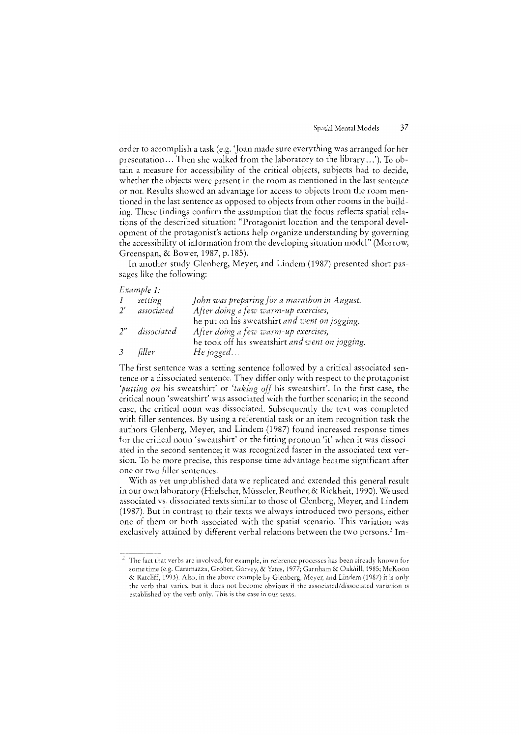order to aeeomplish a task (e.g. 'Joan made sure everything was arranged for her presentation ... Then she walked from the laboratory to the library .. :). To obtain a measure for aeeessibility of the eritieal objeets, subjeets had to deeide, whether the objeets were present in the room as mentioned in the last sentenee or not. Results showed an advantage for aeeess to objeets from the room mentioned in the last sentenee as opposed to objeets from other rooms in the building. These findings eonfirm the assumption that the foeus refleets spatial relations of the described situation: "Protagonist location and the temporal development of the protagonist's aetions help organize understanding by governing the accessibility of information from the developing situation model" (Morrow, Greenspan, & Bower, 1987, p.185).

In another study Glenberg, Meyer, and Lindem (1987) presented short passages like the following:

### *Example* I:

|                    | setting     | John was preparing for a marathon in August.    |
|--------------------|-------------|-------------------------------------------------|
| $\mathcal{I}'$     | associated  | After doing a few warm-up exercises,            |
|                    |             | he put on his sweatshirt and went on jogging.   |
| $2^{\prime\prime}$ | dissociated | After doing a few warm-up exercises,            |
|                    |             | he took off his sweatshirt and went on jogging. |
| $\mathfrak{Z}$     | filler      | He jogged                                       |

The first sentence was a setting sentence followed by a critical associated sentence or a dissoeiated sentence. They differ only with respeet to the protagonist *'putting on* his sweatshirt' or *'taking off* his sweatshirt'. In the first case, the critical noun 'sweatshirt' was associated with the further scenario; in the second ease, the critical noun was dissociated. Subsequendy the text was eompleted with filler sentences. By using a referential task or an item recognition task the authors Glenberg, Meyer, and Lindem (1987) found increased response times for the critical noun 'sweatshirt' or the fitting pronoun 'it' when it was dissoeiated in the second sentenee; it was recognized faster in the associated text version. To be more precise, this response time advantage became significant one or two filler sentenees.

With as yet unpublished data we replieated and extended this general result in our own laboratory (Hielseher, Müsseler, Reuther, & Riekheit, 1990). We used associated vs. dissociated texts similar to those of Glenberg, Meyer, and Lindem (1987). But in contrast to their texts we always introdueed two persons, either one of them or both associated with the spatial scenario. This variation was exclusively attained by different verbal relations between the two persons.<sup>2</sup> Im-

 $1$ <sup>2</sup> The fact that verbs are involved, for example, in reference processes has been already known for some time (e.g. Caramazza, Grober, Garvey, & Yates, 1977; Garnham & Oakhill, 1985; McKoon & Ratcliff, 1993). Also, in the above example by Glenberg, Meyer, and Lindem (1987) it is only the verb that varies, but it does not become obvious if the associated/dissociated variation is established by the verb only. This is the case in our texts.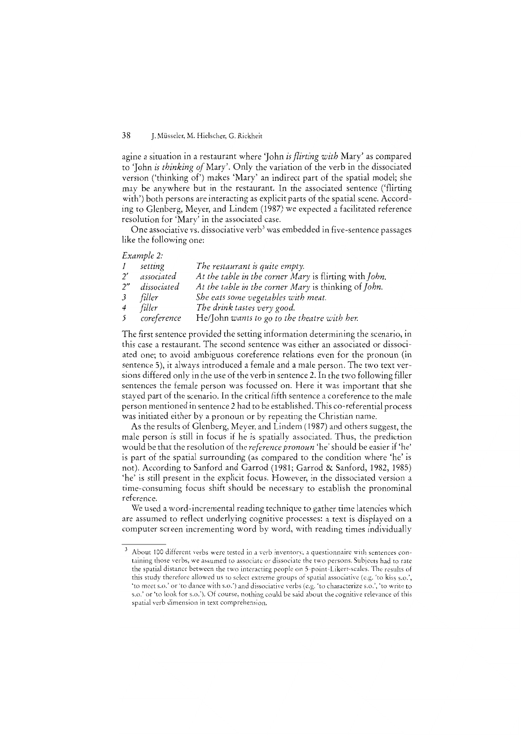agine a situation in a restaurant where 'John *is f/irting with* Mary' as compared to 'John *is thinking ofMary'.* Only the variation of the verb in the dissociated version ('thinking of') makes 'Mary' an indirect part of the spatial model; she may be anywhere but in the restaurant. In the associated sentence ('flirting with') both persons are interacting as explicit parts of the spatial scene. According to Glenberg, Meyer, and Lindem (1987) we expected a facilitated reference resolution for 'Marv' in the associated case.

One associative vs. dissociative verb<sup>3</sup> was embedded in five-sentence passages like the following one:

#### *Example 2:*

|                    | setting     | The restaurant is quite empty.                         |
|--------------------|-------------|--------------------------------------------------------|
| $2^{\prime}$       | associated  | At the table in the corner Mary is flirting with John. |
| $2^{\prime\prime}$ | dissociated | At the table in the corner Mary is thinking of John.   |
| 3                  | filler      | She eats some vegetables with meat.                    |
| $\overline{4}$     | filler      | The drink tastes very good.                            |
| 5                  | coreference | He/John wants to go to the theatre with her.           |

The first sentence provided the setting information determining the scenario, in this case a restaurant. The second sentence was either an associated or dissociated one; to avoid ambiguous coreference relations even for the pronoun (in sentence 5), it always introduced a female and a male person. The two text versions differed only in the use of the verb in sentence 2. In the two following filler sentences the female person was focussed on. Here it was important that she stayed part of the scenario. **In** the critical fifth sentence a coreference to the male person mentioned in sentence 2 had to be established. This co-referential process was initiated either by a pronoun or by repeating the Christian name.

As the results of Glenberg, Meyer, and Lindem ( 1987) and others suggest, the male person is still in focus if he is spatially associated. Thus, the prediction would be that the resolution of the *reference pronoun* 'he' should be easier if 'he' is part of the spatial surrounding (as compared to the condition where 'he' is not). Aeeording to Sanford and Garrod (1981; Garrod & Sanford, 1982, 1985) 'he' is still present in the explieit foeus. However, in the dissociated version a time-consuming foeus shift should be necessary to establish the pronominal referenee.

We used a word-incremental reading teehnique to gather time latencies which are assumed to reflect underlying cognitive processes: a text is displayed on a computer screen incrementing word by word, with reading times individually

 $3$  About 100 different verbs were tested in a verb inventory, a questionnaire with sentences containing those verbs, we assumed to associate or dissociate the two persons. Subjects had to rate the spatial distance between the two interacting people on 5-point-Likert-scales. The results of this study therefore allowed us to select extreme groups of spatial associative (e.g. 'to kiss s.o.', 'to meet s.o.' or 'to dance with s.o.') and dissociative verbs (e.g. 'to characterize s.o.', 'to write to s.o.' or 'to look for s.o.'). Of course, nothing could be said about the cognitive relevance of this spatial verb dimension in text comprehension.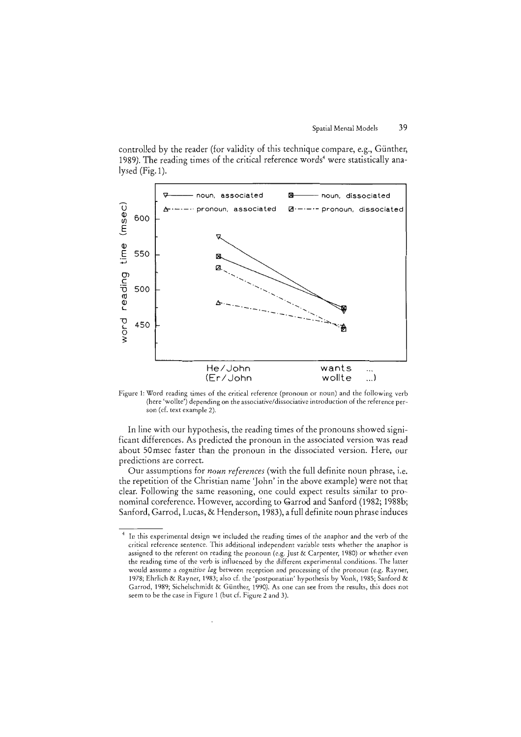



Figure 1: Word reading times of the critical reference (pronoun or noun) and the following verb (here 'wollte') depending on the associative/dissociative introduction of the reference person (cf. text example 2).

In line with our hypothesis, the reading times of the pronouns showed significant differences. As predicted the pronoun in the associated version was read about 50 msec faster than the pronoun in the dissociated version. Here, our predictions are correct.

Our assumptions for *noun references* (with the full definite noun phrase, i,e, the repetition of the Christian name 'John' in the above example) were not that clear. Following the same reasoning, one could expect results similar to pronominal coreference. However, according to Garrod and Sanford (1982; 1988b; Sanford, Garrod, Lucas, & Henderson, 1983), a full definite noun phrase induces

In this experimental design we included the reading times of the anaphor and the verb of the critical reference sentence. This additional independent variable tests whether the anaphor is assigned to the referent on reading the pronoun (e.g. Just & Carpenter, 1980) or whether even the reading time of the verb is influenced by the different experimental conditions. The latter would assume a *cognitive lag* between reception and processing of the pronoun (e.g. Rayner, 1978; Ehrlich & Rayner, 1983; also cf. the 'postponatian' hypo thesis by Vonk, 1985; Sanford & Garrod, 1989; Sichelschmidt & Günther, 1990). As one can see from the results, this does not seem to be the case in Figure 1 (but cf. Figure 2 and 3).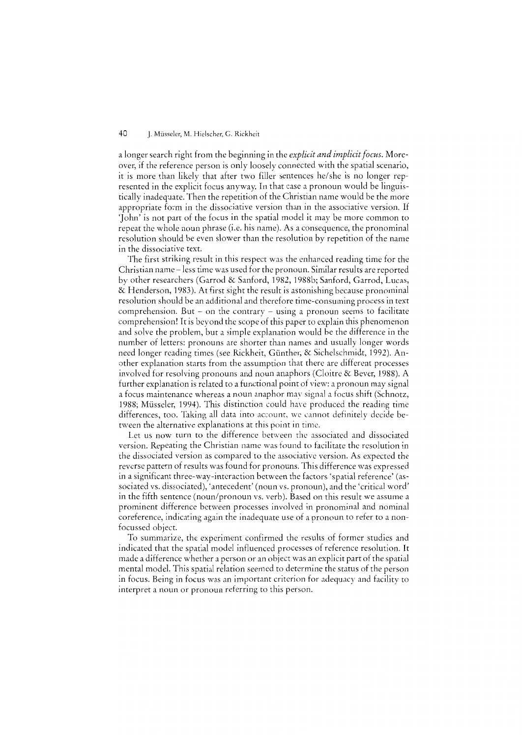a longer search right from the beginning in the *explicit and implicit focus.* Moreover, if the reference person is only loosely connected with the spatial scenario, it is more than likely that after two filler sentences he/she is no longer represented in the explicit focus anyway. In that case a pronoun would be linguistically inadequate. Then the repetition of the Christian name would be the more appropriate form in the dissociative version than in the associative version. If 'John' is not part of the focus in the spatial model it may be more common to repeat the whole noun phrase (i.e. his name). As a consequence, the pronominal resolution should be even slower than the resolution by repetition of the name in the dissociative text.

The first striking result in this respecr was the enhanced reading time for the Christian name -less time was used for thc pronoun. Similar results are reported by other researchers (Garrod & Sanford, 1982, 1988b; Sanford, Garrod, Lucas, & Henderson, 1983). At first sight the result is astonishing because pronominal resolution should be an additional and therefore time-consuming process in text comprehension. But  $-$  on the contrary  $-$  using a pronoun seems to facilitate comprehension! It is beyond the scope of this paper to explain this phenomenon and solve the problem, but a simple explanation would be the difference in the number of letters: pronouns are shorter than names and usually longer words need longer reading times (see Rickheit, Günther, & Sichelschmidt, 1992). Another explanation starts from rhe assumption that there are different processes involved for resolving pronouns and noun anaphors (Cloitre & Bever, 1988). A further explanation is related to a functional point of view: a pronoun may signal a focus maintenance whereas a noun anaphor may signal a focus shift (Schnotz, 1988; Müsseler, 1994). This distinction could have produced the reading time differences, too. Taking all data into account, we cannot definitely decide between the alternative explanations at rhis point in rimc.

Let us now turn to the difference between rhe associated and dissociated version. Repeating the Christian name was found to facilitate the resolution in the dissociated version as compared to the associative version. As expectcd the reverse pattern of results was found for pronouns. This difference was expressed in a significant three-way-interaction between the factors 'spatial reference' (associated vs. dissociated), 'antecedent' (noun vs. pronoun), and the 'critical word' in the fifth sentence (noun/pronoun vs. verb). Based on this result we assume a prominent difference between processes involved in pronominal and nominal coreference, indicating again the inadequate use of a pronoun to refer to a nonfocussed object.

To summarize, the experiment confirmed the results of former studies and indicated that the spatial model influenced processes of reference resolution. It made a difference whether a person or an object was an explicit part of the spatial mental model. This spatial relation seemed to determine the status of the person in focus. Being in focus was an important criterion for adequacy and facility to interpret a noun or pronoun referring to this person.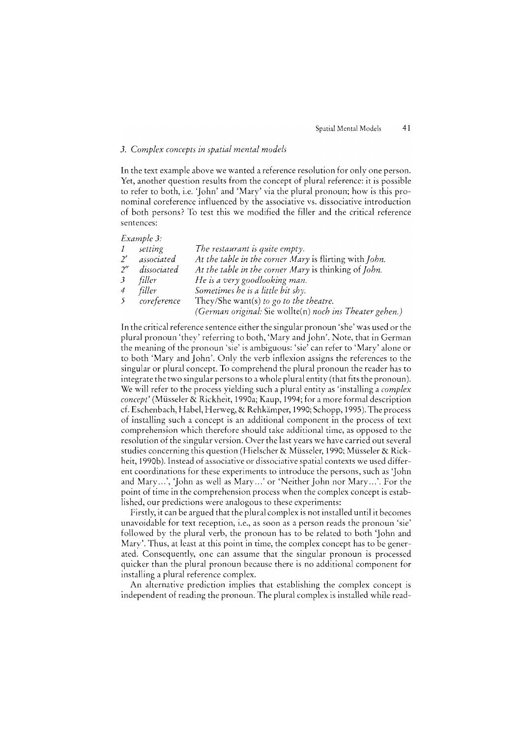#### *3. Complex concepts in spatial mental models*

**In** the text example above we wanted a reference resolution for only one person. Yet, another question results from the concept of plural reference: it is possible to refer to both, i.e. 'John' and 'Mary' via the plural pronoun; how is this pronominal coreference influenced by the associative vs. dissociative introduction of both persons? To test this we modified the filler and the critical reference sentences:

#### *Example 3:*

| The restaurant is quite empty.<br>$\mathcal{I}$<br>setting                           |  |
|--------------------------------------------------------------------------------------|--|
| At the table in the corner Mary is flirting with John.<br>$2^{\prime}$<br>associated |  |
| 2" dissociated<br>At the table in the corner Mary is thinking of John.               |  |
| He is a very goodlooking man.<br>3 filler                                            |  |
| Sometimes he is a little bit shy.<br>$\overline{4}$<br>filler                        |  |
| 5 coreference<br>They/She want(s) to go to the theatre.                              |  |
| (German original: Sie wollte(n) noch ins Theater gehen.)                             |  |

In the critical reference sentence either the singular pronoun 'she' was used ar the plural pronoun 'they' referring to both, 'Mary and lohn'. Note, that in German the meaning of the pronoun 'sie' is ambiguous: 'sie' can refer to 'Mary' alone or to both 'Mary and lohn'. Only the verb inflexion assigns the references to the singular or plural concept. To comprehend the plural pronoun the reader has to integrate the two singular persons to a whole plural entity (that fits the pronoun). We will refer to the process yielding such a plural entity as 'installing a *complex concept'* (Müsseler & Rickheit, 1990a; Kaup, 1994; for a more formal description cf. Eschenbach, Habel, Herweg, & Rehkämper, 1990; Schopp, 1995). The process of installing such a concept is an additional component in the process of text comprehension which therefore should take additional time, as opposed to the resolution of the singular version. Over the last years we have carried out several studies concerning this question (Hielscher & Müsseler, 1990; Müsseler & Rickheit, 1990b). lnstead of associative or dissociative spatial contexts we used different coordinations for these experiments to introduce the persons, such as 'John and Mary...', 'John as well as Mary...' or 'Neither John nor Mary...'. For the point of time in the comprehension process when the complex concept is established, our predictions were analogous to these experiments:

Firstly, it can be argued that the plural complex is not installed until it becomes unavoidable for text reception, i.e., as soon as a person reads the pronoun 'sie' followed by the plural verb, the pronoun has to be related to both 'John and Mary'. Thus, at least at this point in time, the complex concept has to be generated. Consequently, one can assurne that the singular pronoun is processed quicker than the plural pronoun because there is no additional component for installing a plural reference complex.

An alternative prediction implies that establishing the complex concept is independent of reading the pronoun. The plural complex is installed while read-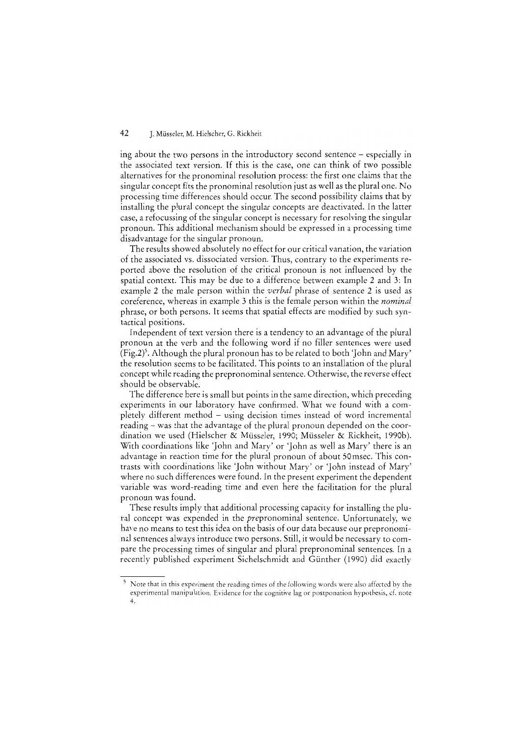ing about the two persons in the introductory second sentence - especially in the associated text version. If this is the case, one can think of two possible alternatives for the pronominal resolution process: the first one claims that the singular concept fits the pronominal resolution just as weil as the plural one. No processing time differences should occur. The second possibility claims that by installing the plural concept the singular concepts are deactivated. In the latter case, a refocussing of the singular concept is necessary for resolving the singular pronoun. This additional mechanism should be expressed in a processing disadvantage for the singular pronoun.

The results showed absolutely no effect for our critical variation, the variation of the associated vs. dissociated version. Thus, contrary to the experiments reported above the resolution of the critical pronoun is not influenced by the spatial context. This may be due to a difference between example 2 and 3: In example 2 the male person within the *verbal* phrase of sentence 2 is used as coreference, whereas in example 3 this is the female person within the *nominal*  phrase, or both persons. It seems that spatial effects are modified by such syntactical positions.

Independent of text version there is a tendency to an advantage of the plural pronoun at the verb and the following word if no fiIler sentences were used  $(Fig.2)<sup>5</sup>$ . Although the plural pronoun has to be related to both 'John and Mary' the resolution seems to be facilitated. This points to an installation of the plural concept while reading the prepronominal sentence. Otherwise, the reverse effect should be observable.

The difference here is small but points in the same direction, which preceding experiments in our laboratory have confirmed. What we found with a completely different method – using decision times instead of word incremental reading - was that the advantage of the plural pronoun depended on the coordination we used (Hielseher & Müsseler, 1990; Müsseler & Rickheit, 1990b). With coordinations like 'John and Mary' or 'John as well as Mary' there is an advantage in reaction time for the plural pronoun of about 50msec. This contrasts with coordinations like 'John without Mary' or 'John instead of Mary' where no such differences were found. In the present experiment the dependent variable was word-reading time and even here the facilitation for the plural pronoun was found.

These results imply that additional processing capacity for installing the plural concept was expended in the *pre*pronominal sentence. Unfortunately, we have no means to test this idea on the basis of our data because our prepronominal sentences always introduce two persons. Still, it would be necessary to compare the processing times of singular and plural prepronominal sentences. In a recently published experiment Sichelschmidt and Günther (1990) did exactly

 $5$  Note that in this experiment the reading times of the following words were also affected by the experimental manipulation. Evidence for the cognitive lag or postponation hypothesis, cf. note 4.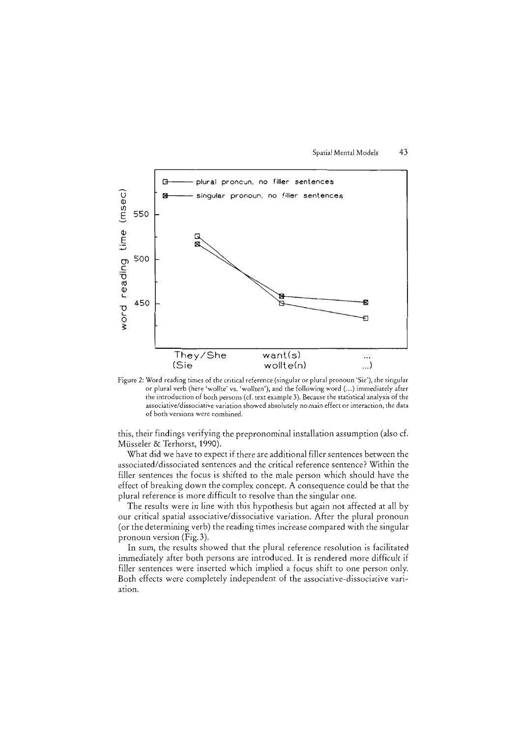Spatial Mental Models 43



Figure 2: Word reading times of the critical reference (singular or plural pronoun 'Sie'), the singular or plural verb (here 'wollte' vs. 'wollten'), and the following word (...) immediately after the introductioo of both persons (cf. text example 3). Because the statistical analysis of the associative/dissociative variation showed absolutely no main effect or interaction, the data of both versions were combined.

this, their findings verifying the prepronominal installation assumption (also cf. Müsseler & Terhorst, 1990).

What did we have to expeet if there are additional filler sentenees berween the assoeiated/dissoeiated sentenees and the eritieal referenee sentenee? Within the filler sentences the focus is shifted to the male person which should have the effect of breaking down the complex concept. A consequence could be that the plural referenee is more diffieult to resolve than the singular one.

The results were in line with this hypothesis but again not affeeted at all by our eritieal spatial assoeiative/dissoeiative variation. After the plural pronoun (or the determining verb) the reading times inerease eompared with the singular pronoun version (Fig. 3).

In sum, the results showed that the plural referenee resolution is faeilitated immediately after both persons are introdueed. It is rendered more diffieult if filler sentences were inserted which implied a focus shift to one person only. Both effeets were eompletely independent of the assoeiative-dissoeiative variation.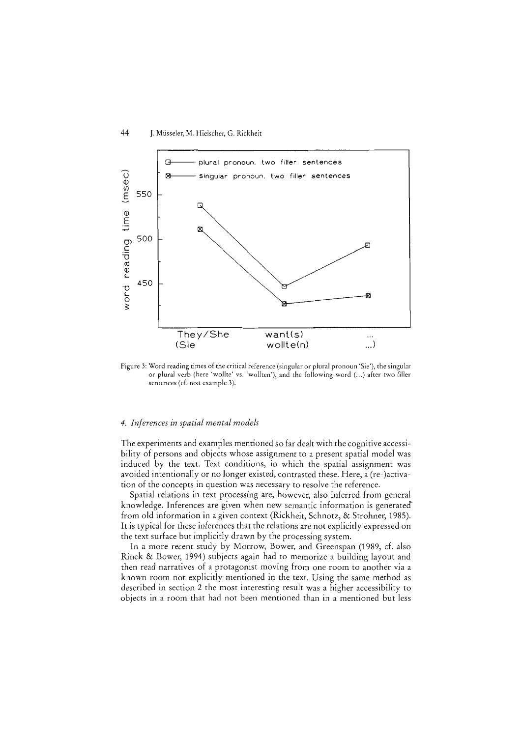

Figure 3: Word reading times of the critical reference (singular or plural pronoun 'Sie'), the singular or plural verb (here 'wollte' vs. 'wollten'), and the following word (...) after two filler sentences (cf. text example 3).

#### *4. lnferences in spatial mental models*

The experiments and examples mentioned so far dealt with the cognitive accessibility of persons and objects whose assignment to a present spatial model was induced by the text. Text conditions, in which the spatial assignment was avoided intentionally or no longer existed, contrasted these. Here, a (re-)activation of the concepts in question was necessary to resolve the reference.

Spatial relations in text processing are, however, also inferred from general knowledge. Inferences are given when new semantic information is generated from old information in a given context (Rickheit, Schnotz, & Strohner, 1985). It is typical for these inferences that the relations are not explicitly expressed on the text surface but implicitly drawn by the processing system.

In a more recent study by Morrow, Bower, and Greenspan (1989, cf. also Rinck & Bower, 1994) subjects again had to memorize a building layout and then read narratives of a protagonist moving from one room to another via a known room not explicitly mentioned in the text. Using the same method as described in section 2 the most interesting result was a higher accessibility to objects in a room that had not been mentioned than in a mentioned but less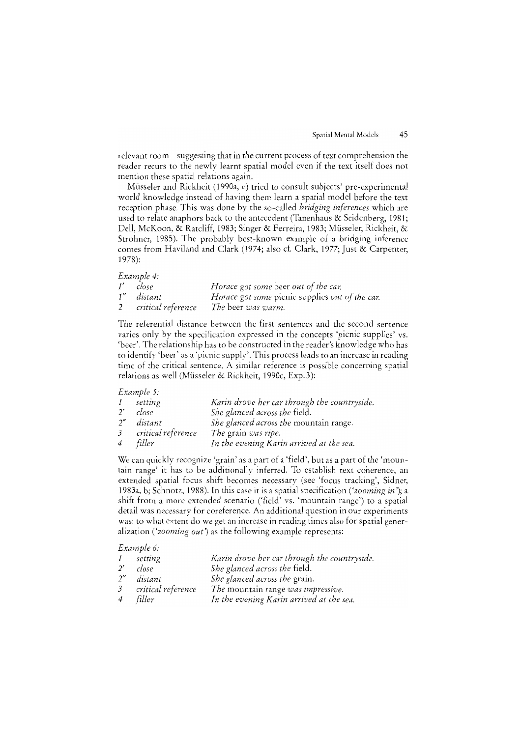relevant room - suggesting that in the current process of text comprehension the reader recurs to the newly leamt spatial model even if the text itself does not mention these spatial relations again.

Müsseler and Rickheit (1990a, c) tried to consult subjects' pre-experimental world knowledge instead of having them learn a spatial model before the text reception phase. This was done by the so-called *bridging inferences* which are used to relate anaphors back to the antecedent (Tanenhaus & Seidenberg, 1981; Dell, McKoon, & Ratcliff, 1983; Singer & Ferreira, 1983; Müsseler, Rickheit, & Strohner, 1985). The probably best-known example of a bridging inference comes from Haviland and Clark (1974; also cf. Clark, 1977; Just & Carpenter, 1978):

#### *Example* 4:

| $1'$ close           | Horace got some beer out of the car.            |
|----------------------|-------------------------------------------------|
| 1" distant           | Horace got some picnic supplies out of the car. |
| 2 critical reference | The beer was warm.                              |

The referential distance between the first sentences and the second sentence varies only by the specification expressed in the concepts 'picnic supplies' vs. 'beer'. The relationship has to be constructed in the reader's knowledge who has to identify 'beer' as a 'picnic supply'. This process leads to an increase in reading time of the critical sentence. A similar reference is possible concerning spatial relations as well (Müsseler & Rickheit, 1990c, Exp. 3):

#### *Example 5:*

| 1                  | setting            | Karin drove her car through the countryside. |
|--------------------|--------------------|----------------------------------------------|
| $2^{\prime}$       | close              | She glanced across the field.                |
| $2^{\prime\prime}$ | distant            | She glanced across the mountain range.       |
| $\mathfrak{Z}$     | critical reference | The grain was ripe.                          |
| $\overline{4}$     | filler             | In the evening Karin arrived at the sea.     |

We can quickly recognize 'grain' as a part of a 'field', but as a part of the 'mountain range' it has to be additionally inferred. To establish text coherence, an extended spatial focus shift becomes necessary (see 'focus tracking', Sidner, 1983a, b; Schnotz, 1988). In this case it is a spatial specification *('zooming in'*); a shift from a more extended scenario ('fieId' vs. 'mountain range') to a spatial detail was necessary for coreference. An additional question in our experiments was: to what extent do we get an increase in reading times also for spatial generalization *('zoommg out')* as the following example represents:

#### *Example 6:*

| $\iota$            | setting            | Karin drove her car through the countryside. |
|--------------------|--------------------|----------------------------------------------|
|                    | close              | She glanced across the field.                |
| $2^{\prime\prime}$ | distant            | She glanced across the grain.                |
| $\mathcal{Z}$      | critical reference | The mountain range was impressive.           |
| $\overline{4}$     | filler             | In the evening Karin arrived at the sea.     |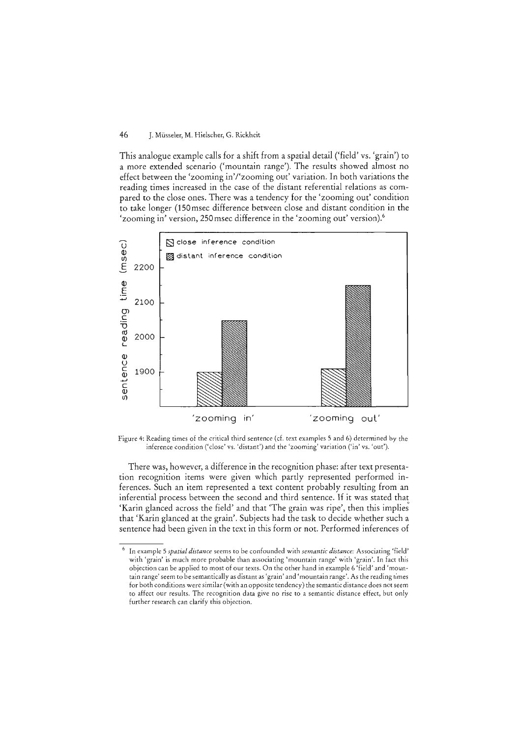This analogue example calls for a shift from a spatial detail ('field' vs. 'grain') to a more extended scenario ('mountain range'). The results showed almost no effect between the 'zooming in'/'zooming out' variation. In both variations the reading times increased in the case of the distant referential relations as compared to the dose ones. There was a tendency for the 'zooming out' condition to take longer (150msec difference between dose and distant condition in the 'zooming in' version, 250msec difference in the 'zooming out' version).6



Figure 4: Reading times of the critical third sentence (cf. text examples 5 and 6) determined by the inference condition ('close' vs. 'distant') and the 'zooming' variation ('in' vs. 'out').

There was, however, a difference in the recognition phase: after text presentation recognition items were given which partly represented performed inferences. Such an item represented a text content probably resulting from an inferential process between the second and third sentence. If it was stated that 'Karin glanced across the field' and that 'The grain was ripe', then this implie; that 'Karin glanced at the grain'. Subjects had the task to decide whether such a sentence had been given in the text in this form or not. Performed inferences of

<sup>6</sup> In example 5 *spatial distance* seems to be confounded with *semantic distance:* Assoeiating 'field' with 'grain' is much more probable than associating 'mountain range' with 'grain'. In fact this objeetion ean be applied to most of our texts. On the other hand in example 6 'field' and 'mountain range' seem to be semantically as distant as 'grain' and 'mountain range'. As the reading times for both conditions were similar (with an opposite tendency) the semantic distance does not seem to affect our results. The recognition data give no rise to a semantic distance effect, but only further research can clarify this objection.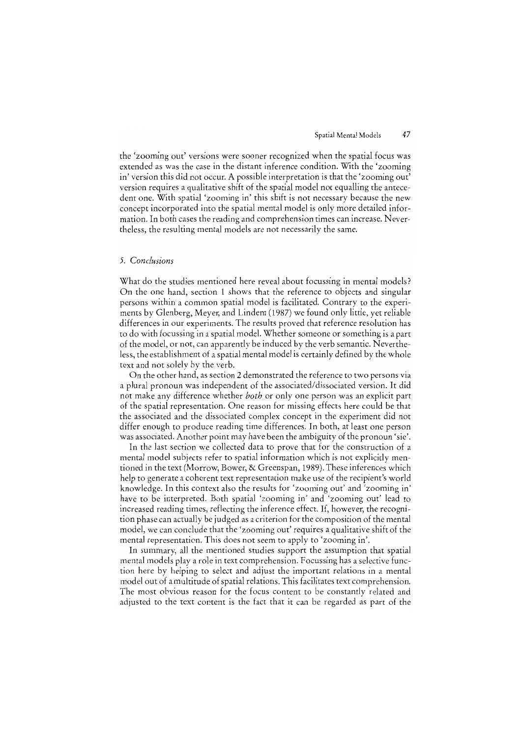the 'zooming out' versions were sooner recognized when the spatial focus was extended as was the case in the distant inference condition. With the 'zooming in' version this did not occur. A possible interpretation is that the 'zooming out' version requires a qualitative shift of the spatial model not equalling the antecedent one. With spatial 'zooming in' this shift is not necessary because the new concept incorporated into the spatial mental model is only more detailed information. In both cases the reading and comprehension times can increase. Nevertheless, the resulting mental models are not necessarily the same.

#### *5. Conclusions*

What do the studies mentioned here reveal about focussing in mental models? On the one hand, section 1 shows that the reference to objects and singular persons within a common spatial model is facilitated. Comrary to the experiments by Glenberg, Meyer, and Lindem (1987) we found only little, yet reliable differences in our experiments. The results proved that reference resolution has to do with focussing in a spatial model. Whether someone or something is apart of the model, or not, can apparently be induced by the verb semantic. Nevertheless, the establishment of a spatial mental model is certainly defined by the whole text and not solely by the verb.

On the other hand, as section 2 demonstrated the reference to two persons via a plural pronoun was independent of the associated/dissociated version. It did not make any difference whether *both* or only one person was an explicit part of the spatial representation. One reason for missing effects here could be that the associated and the dissociated complex concept in the experiment did not differ enough to produce reading time differences. In both, at least one person was associated. Another point may have been the ambiguity of the pronoun 'sie'.

In the last section we collected data to prove that for the construction of a mental model subjects refer to spatial information which is not explicitly mentioned in the text (Morrow, Bower, & Greenspan, 1989). These inferences which help to generate a coherent text representation make use of the recipient's world knowledge. In this context also the results for 'zooming out' and 'zooming in' have to be interpreted. Both spatial 'zooming in' and 'zooming out' lead to increased reading times, reflecting the inference effect. If, however, the recognition phase can actually be judged as a criterion for the composition of the mental model, we can conclude that the 'zooming out' requires a qualitative shift of the mental representation. This does not seem to apply to 'zooming in'.

In summary, all the mentioned studies support the assumption that spatial mental models play a role in text comprehension. Focussing has a selective function here by helping to select and adjust the important relations in a mental model out of a multitude of spatial relations. This facilitates text comprehension. The most obvious reason for the foeus content to be constantly related and adjusted to the text content is the fact that it ean be regarded as part of the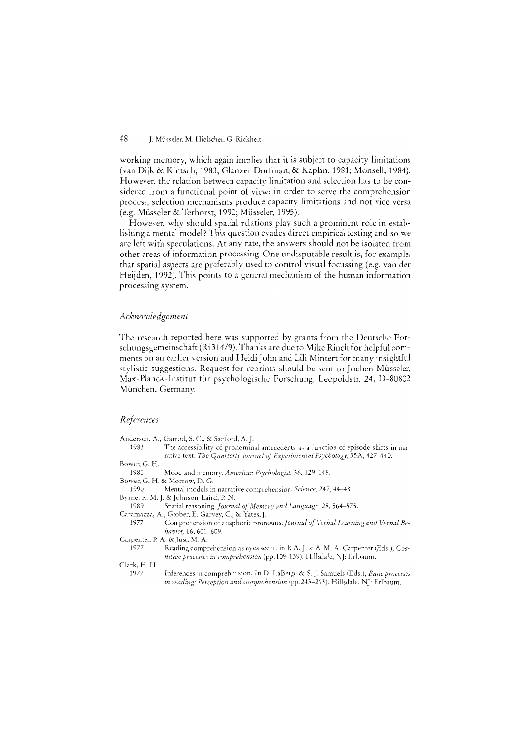working memory, which again implies thar ir is subject to capacity limitations (van Dijk & Kintsch, 1983; Glanzer Dorfman, & Kaplan, 1981; Monsell, 1984). However, the relation between capacity limitation and selection has to be considered from a functional point of view: in order to serve the comprehension process, selection mechanisms produce capacity limitations and not vice versa (e.g. Müsseler & Terhorst, 1990; Müsseler, 1995).

However, why should spatial relations play such a prominent role in establishing a mental model? This question evades direct empirical testing and so we are left wirh speculations. At any rate, the answers should not be isolated from other areas of information processing. One undisputable result is, for example, that spatial aspects are preferably used to control visual focussing (e.g. van der Heijden, 1992). This points to a general mechanism of the human information processing system.

#### *Acknowledgement*

The research reported here was supported by grants from the Deutsche Forschungsgemeinschaft (Ri 314/9). Thanks are due to Mike Rinck for helpful comments on an earlier version and Heidi John and Lili Mintert for many insightful stylistic suggestions. Request for reprints should be sent to ] ochen Müsseler, Max-Planck-Institut für psychologische Forschung, Leopoldstr. 24, D-80802 München, Germany.

#### *References*

- Anderson. A., Garrod, S. c., & Sanford. A. J.
	- 1983 The accessibility of pronominal antecedents as a function of episode shifts in narrative text. The Quarterly Journal of Experimental Psychology, 35A, 427-440.
- Bower, G. H.
- Mood and memory. *American Psychologist*, 36, 129-148.
- Bower, G. H. & Morrow, D. G.
- 1990 Mental models in narrative comprehension. *Science*, 247, 44-48.
- Byrne, R. M. J. & Johnson-Laird, P. N.<br>1989 – Spatial reasoning. *Iourn*.
- 1989 Spatial reasoning. Journal of Memory and Language, 28, 564-575. Caramazza, A., Grober, E. Garvey, C., & Yates, J.
	- 1977 Comprehension of anaphorie pronouns. Journal of Verbal Learning and Verbal Behavior, 16, 601-609.
- Carpenter, P. A. & Just, M. A.<br>1977 Reading compa
	- Reading comprehension as eyes see it. In P. A. Just & M. A. Carpenter (Eds.), *Cog*nitive processes in comprehension (pp. 109-139). Hillsdale, NJ: Erlbaum.

# Clark, H. H.<br>1977

Inferences in comprehension. In D. LaBerge & S. J. Samuels (Eds.), *Basic processes in reading: Perception and comprehension* (pp. 243-263). Hillsdale, NJ: Erlbaum.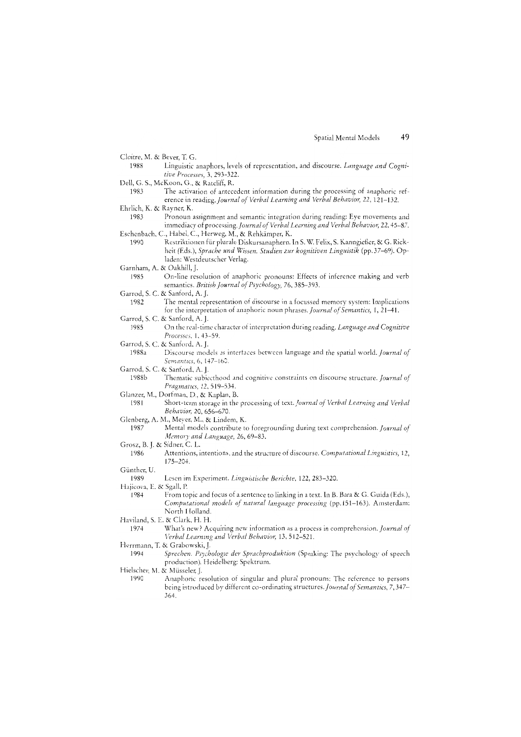- Cloitre, M. & Bever, T. G.
- 1988 Linguistic anaphors, levels of representation, and discourse. Language and Cognitive Processes, 3, 293-322.
- Dell, G. S., McKoon, G., & Ratcliff, R.
- 1983 The activation of antecedent information during the processing of anaphoric reference in reading. Journal of Verbal Learning and Verbal Behavior, 22, 121-132.
- Ehrlich, K. & Rayner, K.
- 1983 Pronoun assignment and semantic integration during reading: Eye movements and immediacy of processing. Journal of Verbal Learning and Verbal Behavior, 22, 45-87. Eschenbach, C., Habel, C., Herweg, M., & Rehkämper, K.
- 1990 Restriktionen für plurale Diskursanaphern. In S. W. Felix, S. Kanngießer, & G. Rickheit (Eds.), Sprache und Wissen. Studien zur kognitiven Linguistik (pp. 37-69). Opladen: Westdeutscher Verlag.

Garnham, A. & Oakhill, J.

- 1985 On-line resolution of anaphoric pronouns: Effects of inference making and verb semantics. British Journal of Psychology, 76, 385-393.
- Garrod, S. C. & Sanford, A. J.
	- 1982 The mental representation of discourse in a focussed memory system: Implications for the interpretation of anaphoric noun phrases. Journal of Semantics, 1, 21-41.
- Garrod, S. C. & Sanford, A. J.
- 1985 On the real-time character of interpretation during reading. Language and Cognitive Processes, 1, 43-59.
- Garrod, S. C. & Sanford, A. J.
	- 1988a Discourse models as interfaces between language and the spatial world. Journal of Semantics, 6, 147-160.
- Garrod, S. C. & Sanford, A. L.
- 19881 Thematic subjecthood and cognitive constraints on discourse structure. Journal of Pragmatics, 12, 519-534.

Glanzer, M., Dorfman, D., & Kaplan, B.

- Short-term storage in the processing of text. Journal of Verbal Learning and Verbal 1981 Behavior, 20, 656-670.
- Glenberg, A. M., Meyer, M., & Lindem, K.
	- 1987 Mental models contribute to foregrounding during text comprehension. Journal of Memory and Language, 26, 69–83.
- Grosz, B. J. & Sidner, C. L.
- 1986 Attentions, intentions, and the structure of discourse. Computational Linguistics, 12, 175-204.
- Günther, U.
- 1989 Lesen im Experiment. Linguistische Berichte, 122, 283-320.
- Hajicova, E. & Sgall, P.
	- From topic and focus of a sentence to linking in a text. In B. Bara & G. Guida (Eds.), 1984 Computational models of natural language processing (pp. 151-163). Amsterdam: North Holland.
- Haviland, S. E. & Clark, H. H.
	- 1974 What's new? Acquiring new information as a process in comprehension. Journal of Verbal Learning and Verbal Behavior, 13, 512-521.
- Herrmann, T. & Grabowski, J.
	- 1994 Sprechen. Psychologie der Sprachproduktion (Speaking: The psychology of speech production). Heidelberg: Spektrum.
- Hielscher, M. & Müsseler, J.
	- 1990 Anaphoric resolution of singular and plural pronouns: The reference to persons being introduced by different co-ordinating structures. Journal of Semantics, 7, 347-364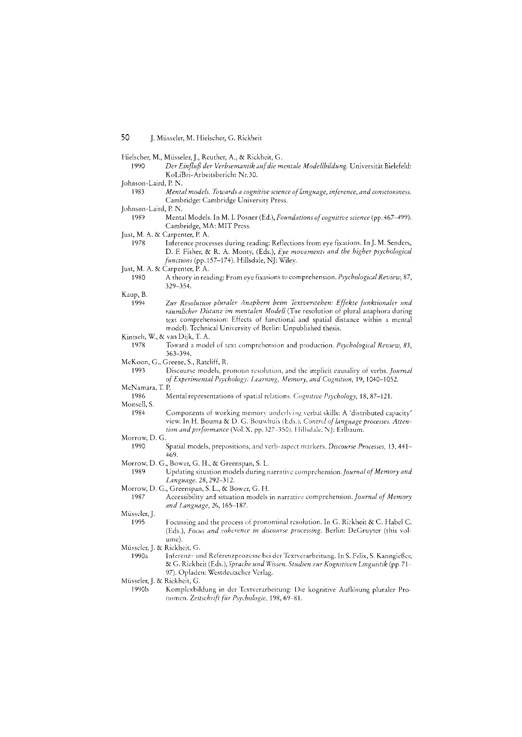|                              | Hielscher, M., Müsseler, J., Reuther, A., & Rickheit, G.                                                                  |
|------------------------------|---------------------------------------------------------------------------------------------------------------------------|
| 1990                         | Der Einfluß der Verbsemantik auf die mentale Modellbildung. Universität Bielefeld:                                        |
|                              | KoLiBri-Arbeitsbericht Nr.30.                                                                                             |
| Johnson-Laird, P. N.<br>1983 |                                                                                                                           |
|                              | Mental models. Towards a cognitive science of language, inference, and consciousness.                                     |
|                              | Cambridge: Cambridge University Press.                                                                                    |
| Johnson-Laird, P. N.<br>1989 |                                                                                                                           |
|                              | Mental Models. In M. I. Posner (Ed.), <i>Foundations of cognitive science</i> (pp. 467–499).<br>Cambridge, MA: MIT Press. |
|                              | Just, M. A. & Carpenter, P. A.                                                                                            |
| 1978                         | Inference processes during reading: Reflections from eye fixations. In J. M. Senders,                                     |
|                              | D. F. Fisher, & R. A. Monty, (Eds.), Eye movements and the higher psychological                                           |
|                              | functions (pp. 157-174). Hillsdale, NJ: Wiley.                                                                            |
|                              | Just, M. A. & Carpenter, P. A.                                                                                            |
| 1980                         | A theory in reading: From eye fixations to comprehension. Psychological Review, 87,                                       |
|                              | 329-354.                                                                                                                  |
| Kaup, B.                     |                                                                                                                           |
| 1994                         | Zur Resolution pluraler Anaphern beim Textverstehen: Effekte funktionaler und                                             |
|                              | räumlicher Distanz im mentalen Modell (The resolution of plural anaphora during                                           |
|                              | text comprehension: Effects of functional and spatial distance within a mental                                            |
|                              | model). Technical University of Berlin: Unpublished thesis.                                                               |
|                              | Kintsch, W., & van Dijk, T. A.                                                                                            |
| 1978                         | Toward a model of text comprehension and production. Psychological Review, 85,                                            |
|                              | 363-394.                                                                                                                  |
|                              | McKoon, G., Greene, S., Ratcliff, R.                                                                                      |
| 1993                         | Discourse models, pronoun resolution, and the implicit causality of verbs. Journal                                        |
|                              | of Experimental Psychology: Learning, Memory, and Cognition, 19, 1040-1052.                                               |
| McNamara, T. P.              |                                                                                                                           |
| 1986                         | Mental representations of spatial relations. Cognitive Psychology, 18, 87-121.                                            |
| Monsell, S.                  |                                                                                                                           |
| 1984                         | Components of working memory underlying verbal skills: A 'distributed capacity'                                           |
|                              | view. In H. Bouma & D. G. Bouwhuis (Eds.), Control of language processes. Atten-                                          |
|                              | tion and performance (Vol. X, pp. 327–350). Hillsdale, NJ: Erlbaum.                                                       |
| Morrow, D. G.<br>1990        |                                                                                                                           |
|                              | Spatial models, prepositions, and verb-aspect markers. <i>Discourse Processes</i> , 13, 441–<br>469.                      |
|                              | Morrow, D. G., Bower, G. H., & Greenspan, S. L.                                                                           |
| 1989                         | Updating situation models during narrative comprehension. Journal of Memory and                                           |
|                              | Language, 28, 292–312.                                                                                                    |
|                              | Morrow, D. G., Greenspan, S. L., & Bower, G. H.                                                                           |
| 1987                         | Accessibility and situation models in narrative comprehension. Journal of Memory                                          |
|                              | and Language, 26, 165-187.                                                                                                |
| Müsseler, J.                 |                                                                                                                           |
| 1995                         | Focussing and the process of pronominal resolution. In G. Rickheit & C. Habel C.                                          |
|                              | (Eds.), Focus and coherence in discourse processing. Berlin: DeGruyter (this vol-                                         |
|                              | ume).                                                                                                                     |
|                              | Müsseler, J. & Rickheit, G.                                                                                               |
| 1990a                        | Inferenz- und Referenzprozesse bei der Textverarbeitung. In S. Felix, S. Kanngießer,                                      |
|                              | & G. Rickheit (Eds.), <i>Sprache und Wissen. Studien zur Kognitiven Linguistik (</i> pp.71–                               |
|                              | 97). Opladen: Westdeutscher Verlag.                                                                                       |
| Müsseler, J. & Rickheit, G.  |                                                                                                                           |
| 1990 <sub>b</sub>            | Komplexbildung in der Textverarbeitung: Die kognitive Auflösung pluraler Pro-                                             |
|                              | nomen. Zeitschrift für Psychologie, 198, 69-81.                                                                           |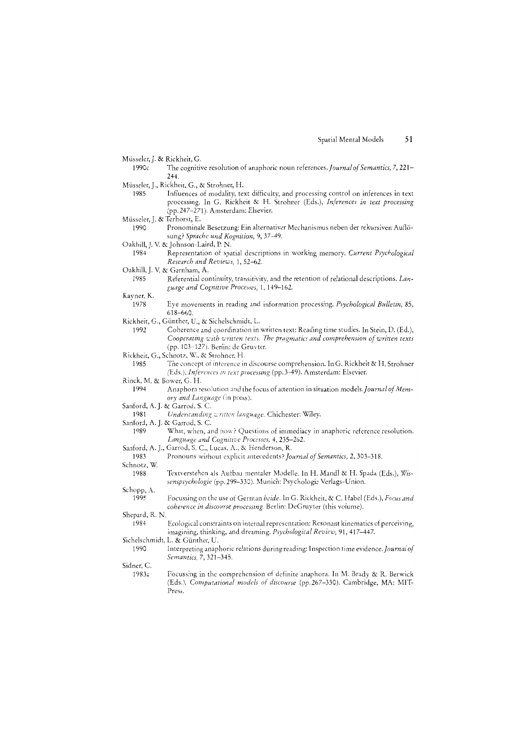- Müsseler, J. & Rickheit, G.
	- 1990c The cognitive resolution of anaphoric noun references. Journal of Semantics, 7, 221-244
- Müsseler, J., Rickheit, G., & Strohner, H.
- 1985 Influences of modality, text difficulty, and processing control on inferences in text processing. In G. Rickheit & H. Strohner (Eds.), Inferences in text processing (pp. 247-271). Amsterdam: Elsevier.
- Müsseler, J. & Terhorst, E.
- 1990 Pronominale Besetzung: Ein alternativer Mechanismus neben der rekursiven Auflösung? Sprache und Kognition, 9, 37-49.
- Oakhill, J. V. & Johnson-Laird, P. N.
	- 1984 Representation of spatial descriptions in working memory. Current Psychological Research and Reviews, 1, 52-62.
- Oakhill, J. V. & Garnham, A.
	- 1985 Referential continuity, transitivity, and the retention of relational descriptions. Language and Cognitive Processes, 1, 149-162.
- Ravner, K.
- 1978 Eye movements in reading and information processing. Psychological Bulletin, 85,  $618 - 660$
- Rickheit, G., Günther, U., & Sichelschmidt, L.

1992 Coherence and coordination in written text: Reading time studies. In Stein, D. (Ed.), Cooperating with written texts. The pragmatics and comprehension of written texts (pp. 103-127). Berlin: de Gruyter.

- Rickheit, G., Schnotz, W., & Strohner, H.
- 1985 The concept of interence in discourse comprehension. In G. Rickheit & H. Strohner (Eds.), Inferences in text processing (pp. 3-49). Amsterdam: Elsevier.
- Rinck, M. & Bower, G. H.
	- 1994 Anaphora resolution and the focus of attention in situation models. Journal of Memory and Language (in press).
- Sanford, A. J. & Garrod, S. C.
- 1981 Understanding written language. Chichester: Wiley.
- Sanford, A. J. & Garrod, S. C.
	- What, when, and how? Questions of immediacy in anaphoric reference resolution. 1989 Language and Cognitive Processes, 4, 235-262.
- Sanford, A. J., Garrod, S. C., Lucas, A., & Henderson, R.
- 1983 Pronouns without explicit antecedents? Journal of Semantics, 2, 303-318. Schnotz, W.
	- 1988 Textverstehen als Aufbau mentaler Modelle. In H. Mandl & H. Spada (Eds.), Wissenspsychologie (pp. 299-330). Munich: Psychologie Verlags-Union.
- Schopp, A. 1995 Focussing on the use of German beide. In G. Rickheit, & C. Habel (Eds.), Focus and coherence in discourse processing. Berlin: DeGruyter (this volume).
- Shepard, R. N
- 1984 Ecological constraints on internal representation: Resonant kinematics of perceiving, imagining, thinking, and dreaming. Psychological Review, 91, 417-447. Sichelschmidt, L. & Günther, U.
- 1990
- Interpreting anaphoric relations during reading: Inspection time evidence. Journal of Semantics, 7, 321-345. Sidner, C.
- - 1983a Focussing in the comprehension of definite anaphora. In M. Brady & R. Berwick (Eds.), Computational models of discourse (pp. 267-330). Cambridge, MA: MIT-Press.